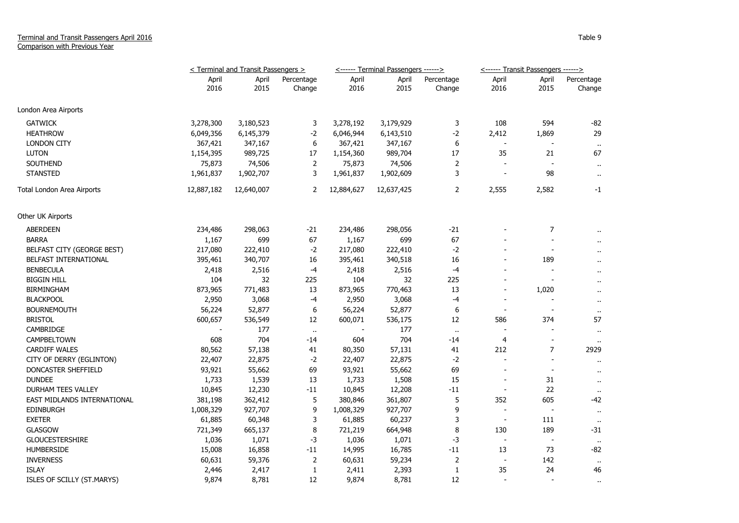## Terminal and Transit Passengers April 2016 Comparison with Previous Year

|                             | <terminal and="" passengers="" transit=""></terminal> |               |                      |               | <------ Terminal Passengers ------> |                      | <------ Transit Passengers ------> |                          |                      |
|-----------------------------|-------------------------------------------------------|---------------|----------------------|---------------|-------------------------------------|----------------------|------------------------------------|--------------------------|----------------------|
|                             | April<br>2016                                         | April<br>2015 | Percentage<br>Change | April<br>2016 | April<br>2015                       | Percentage<br>Change | April<br>2016                      | April<br>2015            | Percentage<br>Change |
| London Area Airports        |                                                       |               |                      |               |                                     |                      |                                    |                          |                      |
| <b>GATWICK</b>              | 3,278,300                                             | 3,180,523     | 3                    | 3,278,192     | 3,179,929                           | 3                    | 108                                | 594                      | -82                  |
| <b>HEATHROW</b>             | 6,049,356                                             | 6,145,379     | $-2$                 | 6,046,944     | 6,143,510                           | $-2$                 | 2,412                              | 1,869                    | 29                   |
| <b>LONDON CITY</b>          | 367,421                                               | 347,167       | 6                    | 367,421       | 347,167                             | 6                    |                                    |                          | $\sim$               |
| <b>LUTON</b>                | 1,154,395                                             | 989,725       | 17                   | 1,154,360     | 989,704                             | 17                   | 35                                 | 21                       | 67                   |
| SOUTHEND                    | 75,873                                                | 74,506        | $\overline{2}$       | 75,873        | 74,506                              | $\overline{2}$       |                                    |                          |                      |
| <b>STANSTED</b>             | 1,961,837                                             | 1,902,707     | 3                    | 1,961,837     | 1,902,609                           | 3                    |                                    | 98                       | $\mathbf{H}$         |
| Total London Area Airports  | 12,887,182                                            | 12,640,007    | 2                    | 12,884,627    | 12,637,425                          | 2                    | 2,555                              | 2,582                    | $-1$                 |
| Other UK Airports           |                                                       |               |                      |               |                                     |                      |                                    |                          |                      |
| <b>ABERDEEN</b>             | 234,486                                               | 298,063       | $-21$                | 234,486       | 298,056                             | $-21$                |                                    | 7                        |                      |
| <b>BARRA</b>                | 1,167                                                 | 699           | 67                   | 1,167         | 699                                 | 67                   |                                    |                          |                      |
| BELFAST CITY (GEORGE BEST)  | 217,080                                               | 222,410       | $-2$                 | 217,080       | 222,410                             | $-2$                 |                                    | $\overline{\phantom{a}}$ | $\ddot{\phantom{1}}$ |
| BELFAST INTERNATIONAL       | 395,461                                               | 340,707       | 16                   | 395,461       | 340,518                             | 16                   |                                    | 189                      | $\ddot{\phantom{1}}$ |
| <b>BENBECULA</b>            | 2,418                                                 | 2,516         | $-4$                 | 2,418         | 2,516                               | $-4$                 |                                    |                          | $\ddot{\phantom{0}}$ |
| <b>BIGGIN HILL</b>          | 104                                                   | 32            | 225                  | 104           | 32                                  | 225                  |                                    |                          | $\ddot{\phantom{a}}$ |
| <b>BIRMINGHAM</b>           | 873,965                                               | 771,483       | 13                   | 873,965       | 770,463                             | 13                   | $\overline{\phantom{a}}$           | 1,020                    | $\ddot{\phantom{1}}$ |
| <b>BLACKPOOL</b>            | 2,950                                                 | 3,068         | $-4$                 | 2,950         | 3,068                               | -4                   | $\blacksquare$                     |                          | $\ddot{\phantom{1}}$ |
| <b>BOURNEMOUTH</b>          | 56,224                                                | 52,877        | 6                    | 56,224        | 52,877                              | 6                    | $\overline{\phantom{a}}$           | $\overline{\phantom{a}}$ | $\ddot{\phantom{1}}$ |
| <b>BRISTOL</b>              | 600,657                                               | 536,549       | 12                   | 600,071       | 536,175                             | 12                   | 586                                | 374                      | 57                   |
| CAMBRIDGE                   |                                                       | 177           | $\bullet$            |               | 177                                 | $\sim$               |                                    |                          | $\bullet$            |
| CAMPBELTOWN                 | 608                                                   | 704           | $-14$                | 604           | 704                                 | $-14$                | 4                                  | $\overline{\phantom{a}}$ |                      |
| <b>CARDIFF WALES</b>        | 80,562                                                | 57,138        | 41                   | 80,350        | 57,131                              | 41                   | 212                                | 7                        | 2929                 |
| CITY OF DERRY (EGLINTON)    | 22,407                                                | 22,875        | $-2$                 | 22,407        | 22,875                              | $-2$                 |                                    |                          | $\ddot{\phantom{1}}$ |
| DONCASTER SHEFFIELD         | 93,921                                                | 55,662        | 69                   | 93,921        | 55,662                              | 69                   |                                    |                          | $\cdot$ .            |
| <b>DUNDEE</b>               | 1,733                                                 | 1,539         | 13                   | 1,733         | 1,508                               | 15                   |                                    | 31                       | $\mathbf{H}$         |
| DURHAM TEES VALLEY          | 10,845                                                | 12,230        | $-11$                | 10,845        | 12,208                              | $-11$                |                                    | 22                       | $\bullet$            |
| EAST MIDLANDS INTERNATIONAL | 381,198                                               | 362,412       | 5                    | 380,846       | 361,807                             | 5                    | 352                                | 605                      | -42                  |
| <b>EDINBURGH</b>            | 1,008,329                                             | 927,707       | 9                    | 1,008,329     | 927,707                             | 9                    |                                    |                          | $\mathbf{u}$         |
| <b>EXETER</b>               | 61,885                                                | 60,348        | 3                    | 61,885        | 60,237                              | 3                    |                                    | 111                      | $\sim$               |
| <b>GLASGOW</b>              | 721,349                                               | 665,137       | 8                    | 721,219       | 664,948                             | 8                    | 130                                | 189                      | $-31$                |
| <b>GLOUCESTERSHIRE</b>      | 1,036                                                 | 1,071         | $-3$                 | 1,036         | 1,071                               | $-3$                 |                                    |                          | $\sim$               |
| <b>HUMBERSIDE</b>           | 15,008                                                | 16,858        | $-11$                | 14,995        | 16,785                              | $-11$                | 13                                 | 73                       | -82                  |
| <b>INVERNESS</b>            | 60,631                                                | 59,376        | $\overline{2}$       | 60,631        | 59,234                              | $\overline{2}$       |                                    | 142                      | $\mathbf{H}$         |
| <b>ISLAY</b>                | 2,446                                                 | 2,417         | $\mathbf{1}$         | 2,411         | 2,393                               | 1                    | 35                                 | 24                       | 46                   |
| ISLES OF SCILLY (ST.MARYS)  | 9,874                                                 | 8,781         | 12                   | 9,874         | 8,781                               | 12                   | $\overline{\phantom{a}}$           | $\overline{\phantom{a}}$ | $\mathbf{H}$         |